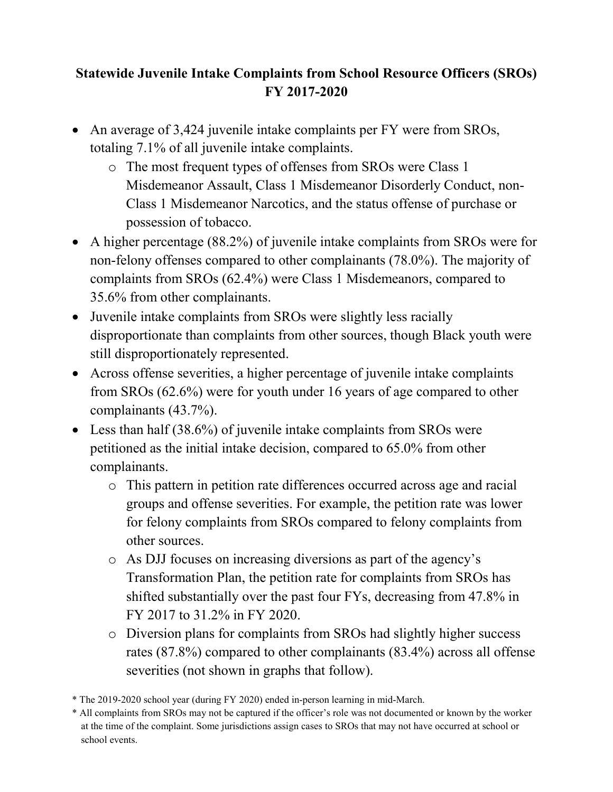#### **Statewide Juvenile Intake Complaints from School Resource Officers (SROs) FY 2017-2020**

- An average of 3,424 juvenile intake complaints per FY were from SROs, totaling 7.1% of all juvenile intake complaints.
	- o The most frequent types of offenses from SROs were Class 1 Misdemeanor Assault, Class 1 Misdemeanor Disorderly Conduct, non-Class 1 Misdemeanor Narcotics, and the status offense of purchase or possession of tobacco.
- A higher percentage (88.2%) of juvenile intake complaints from SROs were for non-felony offenses compared to other complainants (78.0%). The majority of complaints from SROs (62.4%) were Class 1 Misdemeanors, compared to 35.6% from other complainants.
- Juvenile intake complaints from SROs were slightly less racially disproportionate than complaints from other sources, though Black youth were still disproportionately represented.
- Across offense severities, a higher percentage of juvenile intake complaints from SROs (62.6%) were for youth under 16 years of age compared to other complainants (43.7%).
- Less than half (38.6%) of juvenile intake complaints from SROs were petitioned as the initial intake decision, compared to 65.0% from other complainants.
	- o This pattern in petition rate differences occurred across age and racial groups and offense severities. For example, the petition rate was lower for felony complaints from SROs compared to felony complaints from other sources.
	- o As DJJ focuses on increasing diversions as part of the agency's Transformation Plan, the petition rate for complaints from SROs has shifted substantially over the past four FYs, decreasing from 47.8% in FY 2017 to 31.2% in FY 2020.
	- o Diversion plans for complaints from SROs had slightly higher success rates (87.8%) compared to other complainants (83.4%) across all offense severities (not shown in graphs that follow).

<sup>\*</sup> The 2019-2020 school year (during FY 2020) ended in-person learning in mid-March.

<sup>\*</sup> All complaints from SROs may not be captured if the officer's role was not documented or known by the worker at the time of the complaint. Some jurisdictions assign cases to SROs that may not have occurred at school or school events.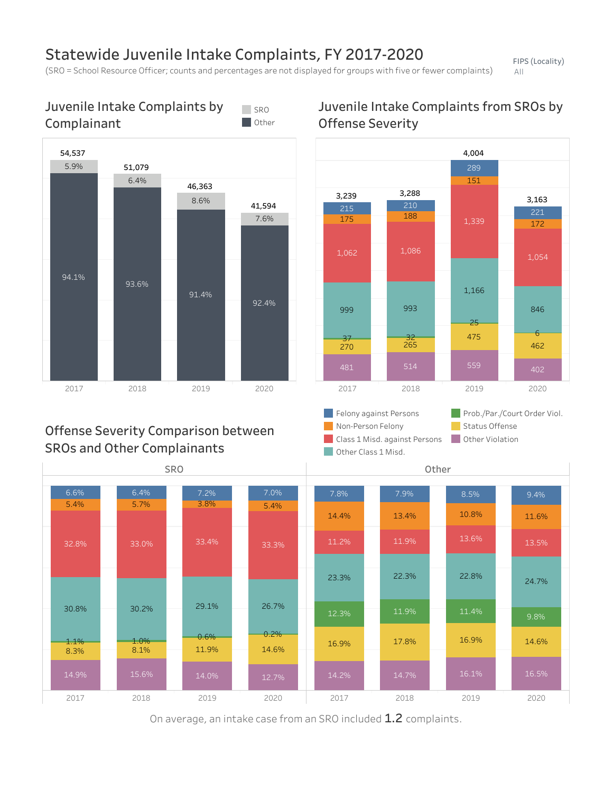## Statewide Juvenile Intake Complaints, FY 2017-2020

(SRO = School Resource Officer; counts and percentages are not displayed for groups with five or fewer complaints)

FIPS(Locality) All



#### Juvenile Intake Complaints by Complainant SRO<sub>S</sub> **Other**

On average, an intake case from an SRO included 1.2 complaints.

### Juvenile Intake Complaints from SROs by **Offense Severity**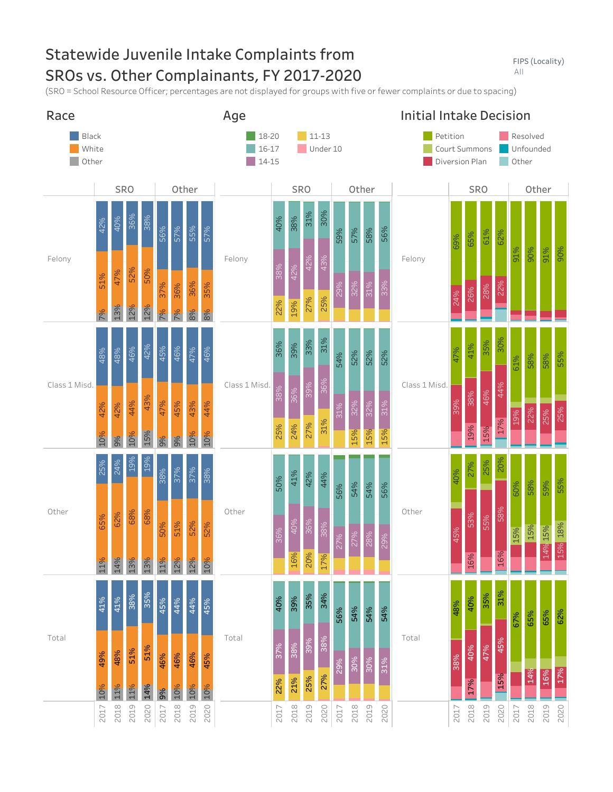# Statewide Juvenile Intake Complaints from SROs vs. Other Complainants, FY 2017-2020

FIPS(Locality) All

(SRO = School Resource Officer; percentages are not displayed for groups with five or fewer complaints or due to spacing)